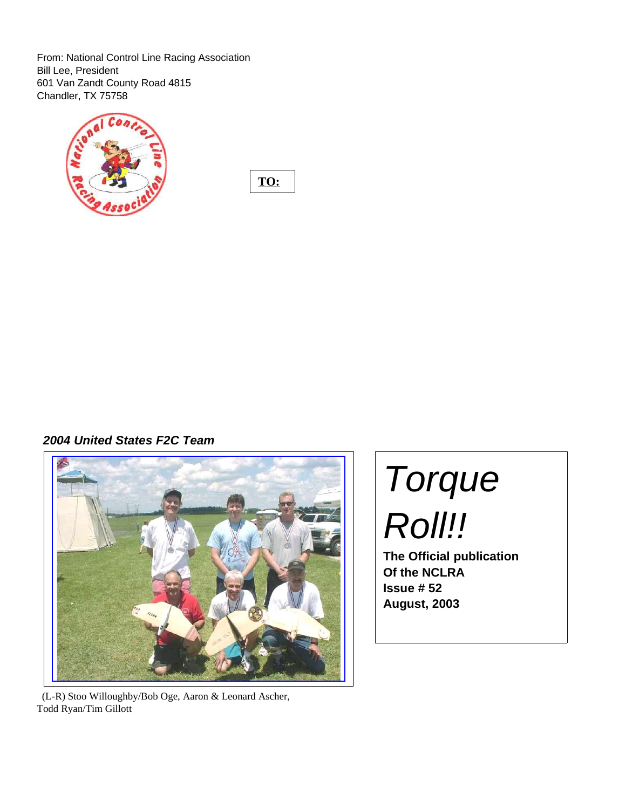From: National Control Line Racing Association Bill Lee, President 601 Van Zandt County Road 4815 Chandler, TX 75758



**TO:**

**2004 United States F2C Team**



(L-R) Stoo Willoughby/Bob Oge, Aaron & Leonard Ascher, Todd Ryan/Tim Gillott

# Torque Roll!!

**The Official publication Of the NCLRA Issue # 52 August, 2003**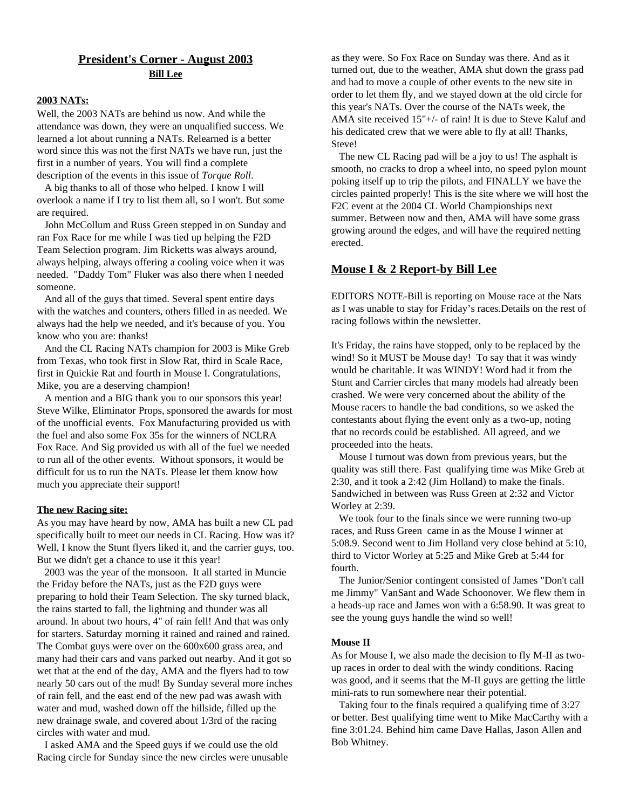## **President's Corner - August 2003 Bill Lee**

#### **2003 NATs:**

Well, the 2003 NATs are behind us now. And while the attendance was down, they were an unqualified success. We learned a lot about running a NATs. Relearned is a better word since this was not the first NATs we have run, just the first in a number of years. You will find a complete description of the events in this issue of *Torque Roll*.

A big thanks to all of those who helped. I know I will overlook a name if I try to list them all, so I won't. But some are required.

John McCollum and Russ Green stepped in on Sunday and ran Fox Race for me while I was tied up helping the F2D Team Selection program. Jim Ricketts was always around, always helping, always offering a cooling voice when it was needed. "Daddy Tom" Fluker was also there when I needed someone.

And all of the guys that timed. Several spent entire days with the watches and counters, others filled in as needed. We always had the help we needed, and it's because of you. You know who you are: thanks!

And the CL Racing NATs champion for 2003 is Mike Greb from Texas, who took first in Slow Rat, third in Scale Race, first in Quickie Rat and fourth in Mouse I. Congratulations, Mike, you are a deserving champion!

A mention and a BIG thank you to our sponsors this year! Steve Wilke, Eliminator Props, sponsored the awards for most of the unofficial events. Fox Manufacturing provided us with the fuel and also some Fox 35s for the winners of NCLRA Fox Race. And Sig provided us with all of the fuel we needed to run all of the other events. Without sponsors, it would be difficult for us to run the NATs. Please let them know how much you appreciate their support!

#### **The new Racing site:**

As you may have heard by now, AMA has built a new CL pad specifically built to meet our needs in CL Racing. How was it? Well, I know the Stunt flyers liked it, and the carrier guys, too. But we didn't get a chance to use it this year!

2003 was the year of the monsoon. It all started in Muncie the Friday before the NATs, just as the F2D guys were preparing to hold their Team Selection. The sky turned black, the rains started to fall, the lightning and thunder was all around. In about two hours, 4" of rain fell! And that was only for starters. Saturday morning it rained and rained and rained. The Combat guys were over on the 600x600 grass area, and many had their cars and vans parked out nearby. And it got so wet that at the end of the day, AMA and the flyers had to tow nearly 50 cars out of the mud! By Sunday several more inches of rain fell, and the east end of the new pad was awash with water and mud, washed down off the hillside, filled up the new drainage swale, and covered about 1/3rd of the racing circles with water and mud.

I asked AMA and the Speed guys if we could use the old Racing circle for Sunday since the new circles were unusable

as they were. So Fox Race on Sunday was there. And as it turned out, due to the weather, AMA shut down the grass pad and had to move a couple of other events to the new site in order to let them fly, and we stayed down at the old circle for this year's NATs. Over the course of the NATs week, the AMA site received 15"+/- of rain! It is due to Steve Kaluf and his dedicated crew that we were able to fly at all! Thanks, Steve!

The new CL Racing pad will be a joy to us! The asphalt is smooth, no cracks to drop a wheel into, no speed pylon mount poking itself up to trip the pilots, and FINALLY we have the circles painted properly! This is the site where we will host the F2C event at the 2004 CL World Championships next summer. Between now and then, AMA will have some grass growing around the edges, and will have the required netting erected.

#### **Mouse I & 2 Report-by Bill Lee**

EDITORS NOTE-Bill is reporting on Mouse race at the Nats as I was unable to stay for Friday's races.Details on the rest of racing follows within the newsletter.

It's Friday, the rains have stopped, only to be replaced by the wind! So it MUST be Mouse day! To say that it was windy would be charitable. It was WINDY! Word had it from the Stunt and Carrier circles that many models had already been crashed. We were very concerned about the ability of the Mouse racers to handle the bad conditions, so we asked the contestants about flying the event only as a two-up, noting that no records could be established. All agreed, and we proceeded into the heats.

Mouse I turnout was down from previous years, but the quality was still there. Fast qualifying time was Mike Greb at 2:30, and it took a 2:42 (Jim Holland) to make the finals. Sandwiched in between was Russ Green at 2:32 and Victor Worley at 2:39.

We took four to the finals since we were running two-up races, and Russ Green came in as the Mouse I winner at 5:08.9. Second went to Jim Holland very close behind at 5:10, third to Victor Worley at 5:25 and Mike Greb at 5:44 for fourth.

The Junior/Senior contingent consisted of James "Don't call me Jimmy" VanSant and Wade Schoonover. We flew them in a heads-up race and James won with a 6:58.90. It was great to see the young guys handle the wind so well!

#### **Mouse II**

As for Mouse I, we also made the decision to fly M-II as twoup races in order to deal with the windy conditions. Racing was good, and it seems that the M-II guys are getting the little mini-rats to run somewhere near their potential.

Taking four to the finals required a qualifying time of 3:27 or better. Best qualifying time went to Mike MacCarthy with a fine 3:01.24. Behind him came Dave Hallas, Jason Allen and Bob Whitney.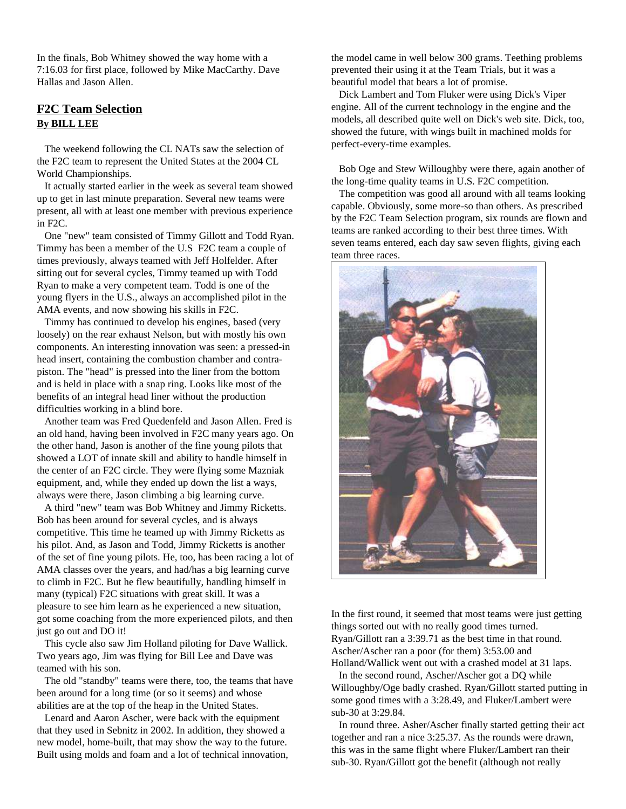In the finals, Bob Whitney showed the way home with a 7:16.03 for first place, followed by Mike MacCarthy. Dave Hallas and Jason Allen.

## **F2C Team Selection By BILL LEE**

The weekend following the CL NATs saw the selection of the F2C team to represent the United States at the 2004 CL World Championships.

It actually started earlier in the week as several team showed up to get in last minute preparation. Several new teams were present, all with at least one member with previous experience in F2C.

One "new" team consisted of Timmy Gillott and Todd Ryan. Timmy has been a member of the U.S F2C team a couple of times previously, always teamed with Jeff Holfelder. After sitting out for several cycles, Timmy teamed up with Todd Ryan to make a very competent team. Todd is one of the young flyers in the U.S., always an accomplished pilot in the AMA events, and now showing his skills in F2C.

Timmy has continued to develop his engines, based (very loosely) on the rear exhaust Nelson, but with mostly his own components. An interesting innovation was seen: a pressed-in head insert, containing the combustion chamber and contrapiston. The "head" is pressed into the liner from the bottom and is held in place with a snap ring. Looks like most of the benefits of an integral head liner without the production difficulties working in a blind bore.

Another team was Fred Quedenfeld and Jason Allen. Fred is an old hand, having been involved in F2C many years ago. On the other hand, Jason is another of the fine young pilots that showed a LOT of innate skill and ability to handle himself in the center of an F2C circle. They were flying some Mazniak equipment, and, while they ended up down the list a ways, always were there, Jason climbing a big learning curve.

A third "new" team was Bob Whitney and Jimmy Ricketts. Bob has been around for several cycles, and is always competitive. This time he teamed up with Jimmy Ricketts as his pilot. And, as Jason and Todd, Jimmy Ricketts is another of the set of fine young pilots. He, too, has been racing a lot of AMA classes over the years, and had/has a big learning curve to climb in F2C. But he flew beautifully, handling himself in many (typical) F2C situations with great skill. It was a pleasure to see him learn as he experienced a new situation, got some coaching from the more experienced pilots, and then just go out and DO it!

This cycle also saw Jim Holland piloting for Dave Wallick. Two years ago, Jim was flying for Bill Lee and Dave was teamed with his son.

The old "standby" teams were there, too, the teams that have been around for a long time (or so it seems) and whose abilities are at the top of the heap in the United States.

Lenard and Aaron Ascher, were back with the equipment that they used in Sebnitz in 2002. In addition, they showed a new model, home-built, that may show the way to the future. Built using molds and foam and a lot of technical innovation, the model came in well below 300 grams. Teething problems prevented their using it at the Team Trials, but it was a beautiful model that bears a lot of promise.

Dick Lambert and Tom Fluker were using Dick's Viper engine. All of the current technology in the engine and the models, all described quite well on Dick's web site. Dick, too, showed the future, with wings built in machined molds for perfect-every-time examples.

Bob Oge and Stew Willoughby were there, again another of the long-time quality teams in U.S. F2C competition.

The competition was good all around with all teams looking capable. Obviously, some more-so than others. As prescribed by the F2C Team Selection program, six rounds are flown and teams are ranked according to their best three times. With seven teams entered, each day saw seven flights, giving each team three races.



In the first round, it seemed that most teams were just getting things sorted out with no really good times turned. Ryan/Gillott ran a 3:39.71 as the best time in that round. Ascher/Ascher ran a poor (for them) 3:53.00 and Holland/Wallick went out with a crashed model at 31 laps.

In the second round, Ascher/Ascher got a DQ while Willoughby/Oge badly crashed. Ryan/Gillott started putting in some good times with a 3:28.49, and Fluker/Lambert were sub-30 at 3:29.84.

In round three. Asher/Ascher finally started getting their act together and ran a nice 3:25.37. As the rounds were drawn, this was in the same flight where Fluker/Lambert ran their sub-30. Ryan/Gillott got the benefit (although not really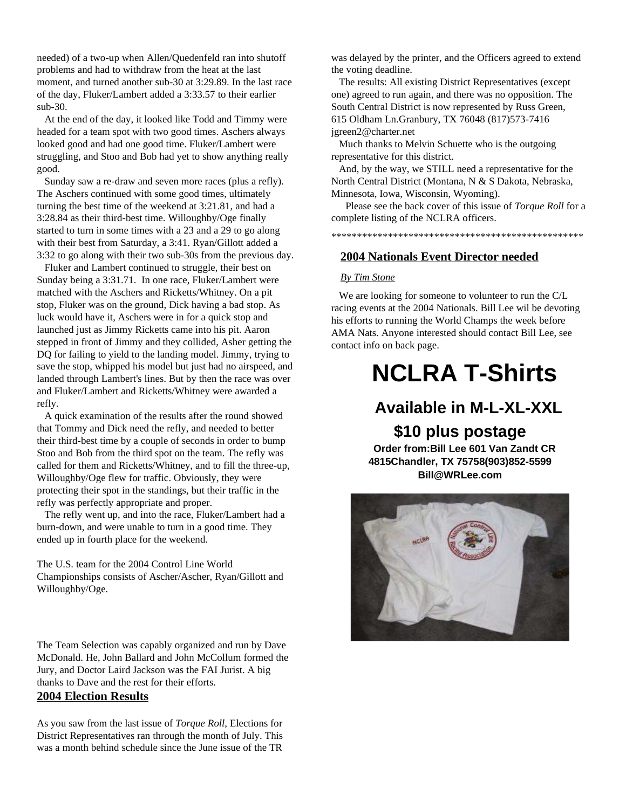needed) of a two-up when Allen/Quedenfeld ran into shutoff problems and had to withdraw from the heat at the last moment, and turned another sub-30 at 3:29.89. In the last race of the day, Fluker/Lambert added a 3:33.57 to their earlier sub-30.

At the end of the day, it looked like Todd and Timmy were headed for a team spot with two good times. Aschers always looked good and had one good time. Fluker/Lambert were struggling, and Stoo and Bob had yet to show anything really good.

Sunday saw a re-draw and seven more races (plus a refly). The Aschers continued with some good times, ultimately turning the best time of the weekend at 3:21.81, and had a 3:28.84 as their third-best time. Willoughby/Oge finally started to turn in some times with a 23 and a 29 to go along with their best from Saturday, a 3:41. Ryan/Gillott added a 3:32 to go along with their two sub-30s from the previous day.

Fluker and Lambert continued to struggle, their best on Sunday being a 3:31.71. In one race, Fluker/Lambert were matched with the Aschers and Ricketts/Whitney. On a pit stop, Fluker was on the ground, Dick having a bad stop. As luck would have it, Aschers were in for a quick stop and launched just as Jimmy Ricketts came into his pit. Aaron stepped in front of Jimmy and they collided, Asher getting the DQ for failing to yield to the landing model. Jimmy, trying to save the stop, whipped his model but just had no airspeed, and landed through Lambert's lines. But by then the race was over and Fluker/Lambert and Ricketts/Whitney were awarded a refly.

A quick examination of the results after the round showed that Tommy and Dick need the refly, and needed to better their third-best time by a couple of seconds in order to bump Stoo and Bob from the third spot on the team. The refly was called for them and Ricketts/Whitney, and to fill the three-up, Willoughby/Oge flew for traffic. Obviously, they were protecting their spot in the standings, but their traffic in the refly was perfectly appropriate and proper.

The refly went up, and into the race, Fluker/Lambert had a burn-down, and were unable to turn in a good time. They ended up in fourth place for the weekend.

The U.S. team for the 2004 Control Line World Championships consists of Ascher/Ascher, Ryan/Gillott and Willoughby/Oge.

The Team Selection was capably organized and run by Dave McDonald. He, John Ballard and John McCollum formed the Jury, and Doctor Laird Jackson was the FAI Jurist. A big thanks to Dave and the rest for their efforts.

## **2004 Election Results**

As you saw from the last issue of *Torque Roll*, Elections for District Representatives ran through the month of July. This was a month behind schedule since the June issue of the TR

was delayed by the printer, and the Officers agreed to extend the voting deadline.

The results: All existing District Representatives (except one) agreed to run again, and there was no opposition. The South Central District is now represented by Russ Green, 615 Oldham Ln.Granbury, TX 76048 (817)573-7416 jgreen2@charter.net

Much thanks to Melvin Schuette who is the outgoing representative for this district.

And, by the way, we STILL need a representative for the North Central District (Montana, N & S Dakota, Nebraska, Minnesota, Iowa, Wisconsin, Wyoming).

Please see the back cover of this issue of *Torque Roll* for a complete listing of the NCLRA officers.

\*\*\*\*\*\*\*\*\*\*\*\*\*\*\*\*\*\*\*\*\*\*\*\*\*\*\*\*\*\*\*\*\*\*\*\*\*\*\*\*\*\*\*\*\*\*\*\*\*

#### **2004 Nationals Event Director needed**

#### *By Tim Stone*

We are looking for someone to volunteer to run the C/L racing events at the 2004 Nationals. Bill Lee wil be devoting his efforts to running the World Champs the week before AMA Nats. Anyone interested should contact Bill Lee, see contact info on back page.

## **NCLRA T-Shirts**

## **Available in M-L-XL-XXL**

**\$10 plus postage Order from:Bill Lee 601 Van Zandt CR 4815Chandler, TX 75758(903)852-5599**

**Bill@WRLee.com**

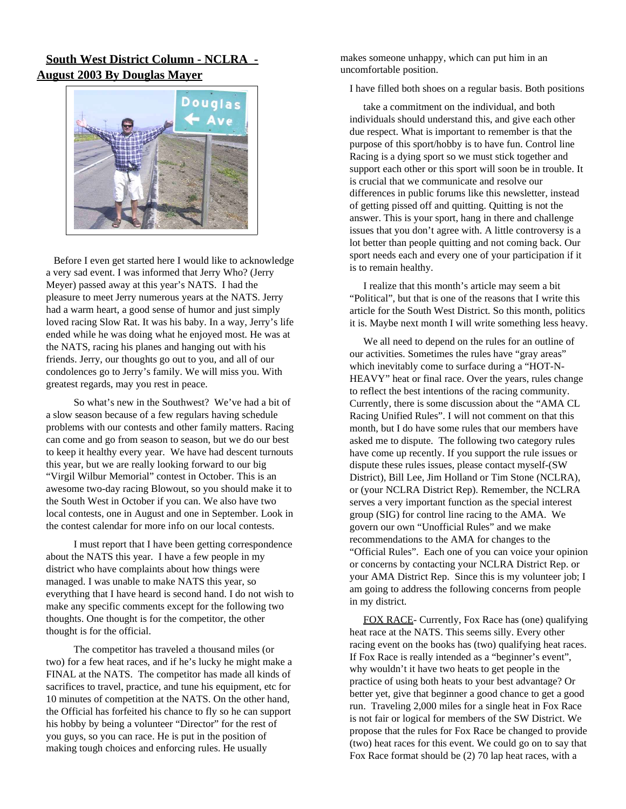## **South West District Column - NCLRA - August 2003 By Douglas Mayer**



Before I even get started here I would like to acknowledge a very sad event. I was informed that Jerry Who? (Jerry Meyer) passed away at this year's NATS. I had the pleasure to meet Jerry numerous years at the NATS. Jerry had a warm heart, a good sense of humor and just simply loved racing Slow Rat. It was his baby. In a way, Jerry's life ended while he was doing what he enjoyed most. He was at the NATS, racing his planes and hanging out with his friends. Jerry, our thoughts go out to you, and all of our condolences go to Jerry's family. We will miss you. With greatest regards, may you rest in peace.

So what's new in the Southwest? We've had a bit of a slow season because of a few regulars having schedule problems with our contests and other family matters. Racing can come and go from season to season, but we do our best to keep it healthy every year. We have had descent turnouts this year, but we are really looking forward to our big "Virgil Wilbur Memorial" contest in October. This is an awesome two-day racing Blowout, so you should make it to the South West in October if you can. We also have two local contests, one in August and one in September. Look in the contest calendar for more info on our local contests.

I must report that I have been getting correspondence about the NATS this year. I have a few people in my district who have complaints about how things were managed. I was unable to make NATS this year, so everything that I have heard is second hand. I do not wish to make any specific comments except for the following two thoughts. One thought is for the competitor, the other thought is for the official.

The competitor has traveled a thousand miles (or two) for a few heat races, and if he's lucky he might make a FINAL at the NATS. The competitor has made all kinds of sacrifices to travel, practice, and tune his equipment, etc for 10 minutes of competition at the NATS. On the other hand, the Official has forfeited his chance to fly so he can support his hobby by being a volunteer "Director" for the rest of you guys, so you can race. He is put in the position of making tough choices and enforcing rules. He usually

makes someone unhappy, which can put him in an uncomfortable position.

I have filled both shoes on a regular basis. Both positions

take a commitment on the individual, and both individuals should understand this, and give each other due respect. What is important to remember is that the purpose of this sport/hobby is to have fun. Control line Racing is a dying sport so we must stick together and support each other or this sport will soon be in trouble. It is crucial that we communicate and resolve our differences in public forums like this newsletter, instead of getting pissed off and quitting. Quitting is not the answer. This is your sport, hang in there and challenge issues that you don't agree with. A little controversy is a lot better than people quitting and not coming back. Our sport needs each and every one of your participation if it is to remain healthy.

I realize that this month's article may seem a bit "Political", but that is one of the reasons that I write this article for the South West District. So this month, politics it is. Maybe next month I will write something less heavy.

We all need to depend on the rules for an outline of our activities. Sometimes the rules have "gray areas" which inevitably come to surface during a "HOT-N-HEAVY" heat or final race. Over the years, rules change to reflect the best intentions of the racing community. Currently, there is some discussion about the "AMA CL Racing Unified Rules". I will not comment on that this month, but I do have some rules that our members have asked me to dispute. The following two category rules have come up recently. If you support the rule issues or dispute these rules issues, please contact myself-(SW District), Bill Lee, Jim Holland or Tim Stone (NCLRA), or (your NCLRA District Rep). Remember, the NCLRA serves a very important function as the special interest group (SIG) for control line racing to the AMA. We govern our own "Unofficial Rules" and we make recommendations to the AMA for changes to the "Official Rules". Each one of you can voice your opinion or concerns by contacting your NCLRA District Rep. or your AMA District Rep. Since this is my volunteer job; I am going to address the following concerns from people in my district.

FOX RACE- Currently, Fox Race has (one) qualifying heat race at the NATS. This seems silly. Every other racing event on the books has (two) qualifying heat races. If Fox Race is really intended as a "beginner's event", why wouldn't it have two heats to get people in the practice of using both heats to your best advantage? Or better yet, give that beginner a good chance to get a good run. Traveling 2,000 miles for a single heat in Fox Race is not fair or logical for members of the SW District. We propose that the rules for Fox Race be changed to provide (two) heat races for this event. We could go on to say that Fox Race format should be (2) 70 lap heat races, with a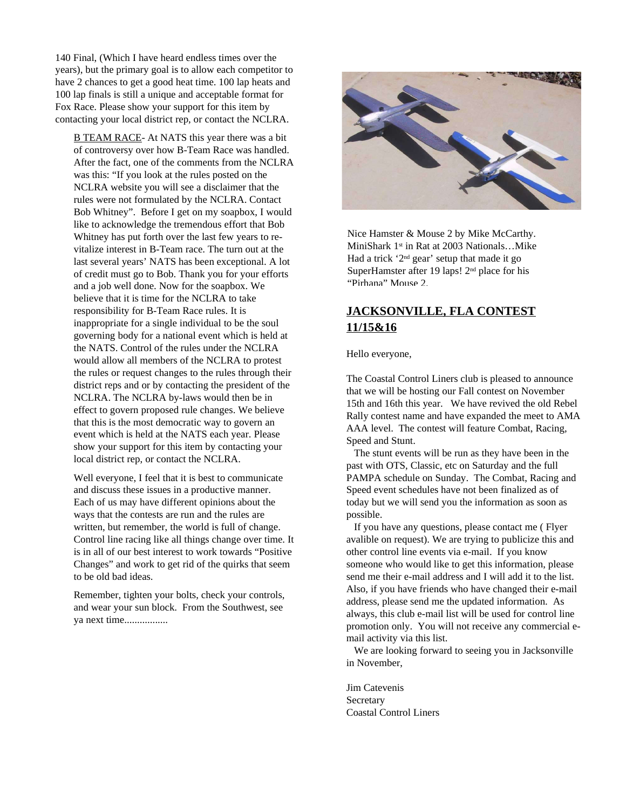140 Final, (Which I have heard endless times over the years), but the primary goal is to allow each competitor to have 2 chances to get a good heat time. 100 lap heats and 100 lap finals is still a unique and acceptable format for Fox Race. Please show your support for this item by contacting your local district rep, or contact the NCLRA.

B TEAM RACE- At NATS this year there was a bit of controversy over how B-Team Race was handled. After the fact, one of the comments from the NCLRA was this: "If you look at the rules posted on the NCLRA website you will see a disclaimer that the rules were not formulated by the NCLRA. Contact Bob Whitney". Before I get on my soapbox, I would like to acknowledge the tremendous effort that Bob Whitney has put forth over the last few years to revitalize interest in B-Team race. The turn out at the last several years' NATS has been exceptional. A lot of credit must go to Bob. Thank you for your efforts and a job well done. Now for the soapbox. We believe that it is time for the NCLRA to take responsibility for B-Team Race rules. It is inappropriate for a single individual to be the soul governing body for a national event which is held at the NATS. Control of the rules under the NCLRA would allow all members of the NCLRA to protest the rules or request changes to the rules through their district reps and or by contacting the president of the NCLRA. The NCLRA by-laws would then be in effect to govern proposed rule changes. We believe that this is the most democratic way to govern an event which is held at the NATS each year. Please show your support for this item by contacting your local district rep, or contact the NCLRA.

Well everyone, I feel that it is best to communicate and discuss these issues in a productive manner. Each of us may have different opinions about the ways that the contests are run and the rules are written, but remember, the world is full of change. Control line racing like all things change over time. It is in all of our best interest to work towards "Positive Changes" and work to get rid of the quirks that seem to be old bad ideas.

Remember, tighten your bolts, check your controls, and wear your sun block. From the Southwest, see ya next time.................



Nice Hamster & Mouse 2 by Mike McCarthy. MiniShark 1 st in Rat at 2003 Nationals…Mike Had a trick '2<sup>nd</sup> gear' setup that made it go SuperHamster after 19 laps! 2<sup>nd</sup> place for his "Pirhana" Mouse 2.

## **JACKSONVILLE, FLA CONTEST 11/15&16**

#### Hello everyone,

The Coastal Control Liners club is pleased to announce that we will be hosting our Fall contest on November 15th and 16th this year. We have revived the old Rebel Rally contest name and have expanded the meet to AMA AAA level. The contest will feature Combat, Racing, Speed and Stunt.

The stunt events will be run as they have been in the past with OTS, Classic, etc on Saturday and the full PAMPA schedule on Sunday. The Combat, Racing and Speed event schedules have not been finalized as of today but we will send you the information as soon as possible.

If you have any questions, please contact me ( Flyer avalible on request). We are trying to publicize this and other control line events via e-mail. If you know someone who would like to get this information, please send me their e-mail address and I will add it to the list. Also, if you have friends who have changed their e-mail address, please send me the updated information. As always, this club e-mail list will be used for control line promotion only. You will not receive any commercial email activity via this list.

We are looking forward to seeing you in Jacksonville in November,

Jim Catevenis **Secretary** Coastal Control Liners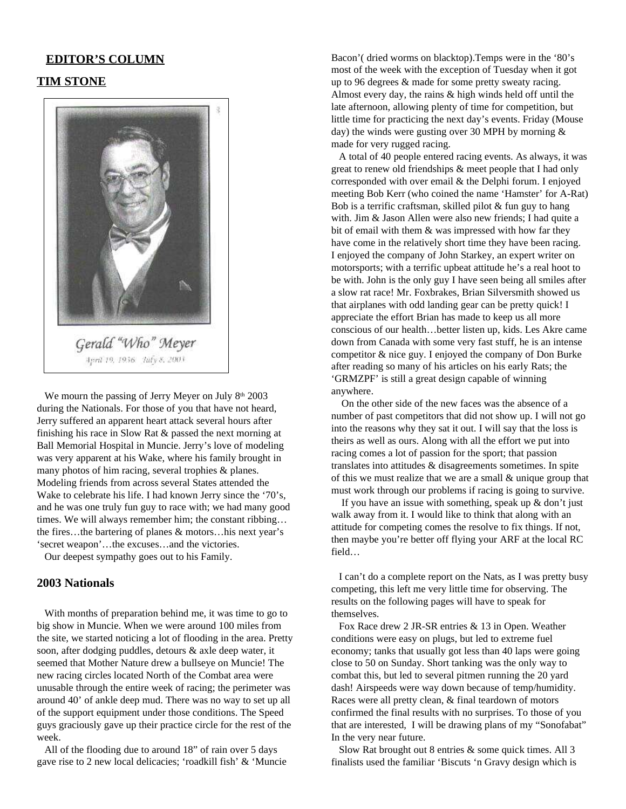#### **EDITOR'S COLUMN**

#### **TIM STONE**



We mourn the passing of Jerry Meyer on July 8<sup>th</sup> 2003 during the Nationals. For those of you that have not heard, Jerry suffered an apparent heart attack several hours after finishing his race in Slow Rat & passed the next morning at Ball Memorial Hospital in Muncie. Jerry's love of modeling was very apparent at his Wake, where his family brought in many photos of him racing, several trophies & planes. Modeling friends from across several States attended the Wake to celebrate his life. I had known Jerry since the '70's, and he was one truly fun guy to race with; we had many good times. We will always remember him; the constant ribbing… the fires…the bartering of planes & motors…his next year's 'secret weapon'…the excuses…and the victories.

Our deepest sympathy goes out to his Family.

#### **2003 Nationals**

With months of preparation behind me, it was time to go to big show in Muncie. When we were around 100 miles from the site, we started noticing a lot of flooding in the area. Pretty soon, after dodging puddles, detours & axle deep water, it seemed that Mother Nature drew a bullseye on Muncie! The new racing circles located North of the Combat area were unusable through the entire week of racing; the perimeter was around 40' of ankle deep mud. There was no way to set up all of the support equipment under those conditions. The Speed guys graciously gave up their practice circle for the rest of the week.

All of the flooding due to around 18" of rain over 5 days gave rise to 2 new local delicacies; 'roadkill fish' & 'Muncie Bacon'( dried worms on blacktop).Temps were in the '80's most of the week with the exception of Tuesday when it got up to 96 degrees & made for some pretty sweaty racing. Almost every day, the rains & high winds held off until the late afternoon, allowing plenty of time for competition, but little time for practicing the next day's events. Friday (Mouse day) the winds were gusting over 30 MPH by morning  $\&$ made for very rugged racing.

A total of 40 people entered racing events. As always, it was great to renew old friendships & meet people that I had only corresponded with over email & the Delphi forum. I enjoyed meeting Bob Kerr (who coined the name 'Hamster' for A-Rat) Bob is a terrific craftsman, skilled pilot & fun guy to hang with. Jim & Jason Allen were also new friends; I had quite a bit of email with them & was impressed with how far they have come in the relatively short time they have been racing. I enjoyed the company of John Starkey, an expert writer on motorsports; with a terrific upbeat attitude he's a real hoot to be with. John is the only guy I have seen being all smiles after a slow rat race! Mr. Foxbrakes, Brian Silversmith showed us that airplanes with odd landing gear can be pretty quick! I appreciate the effort Brian has made to keep us all more conscious of our health…better listen up, kids. Les Akre came down from Canada with some very fast stuff, he is an intense competitor & nice guy. I enjoyed the company of Don Burke after reading so many of his articles on his early Rats; the 'GRMZPF' is still a great design capable of winning anywhere.

On the other side of the new faces was the absence of a number of past competitors that did not show up. I will not go into the reasons why they sat it out. I will say that the loss is theirs as well as ours. Along with all the effort we put into racing comes a lot of passion for the sport; that passion translates into attitudes & disagreements sometimes. In spite of this we must realize that we are a small & unique group that must work through our problems if racing is going to survive.

If you have an issue with something, speak up  $&$  don't just walk away from it. I would like to think that along with an attitude for competing comes the resolve to fix things. If not, then maybe you're better off flying your ARF at the local RC field…

I can't do a complete report on the Nats, as I was pretty busy competing, this left me very little time for observing. The results on the following pages will have to speak for themselves.

Fox Race drew 2 JR-SR entries & 13 in Open. Weather conditions were easy on plugs, but led to extreme fuel economy; tanks that usually got less than 40 laps were going close to 50 on Sunday. Short tanking was the only way to combat this, but led to several pitmen running the 20 yard dash! Airspeeds were way down because of temp/humidity. Races were all pretty clean, & final teardown of motors confirmed the final results with no surprises. To those of you that are interested, I will be drawing plans of my "Sonofabat" In the very near future.

Slow Rat brought out 8 entries & some quick times. All 3 finalists used the familiar 'Biscuts 'n Gravy design which is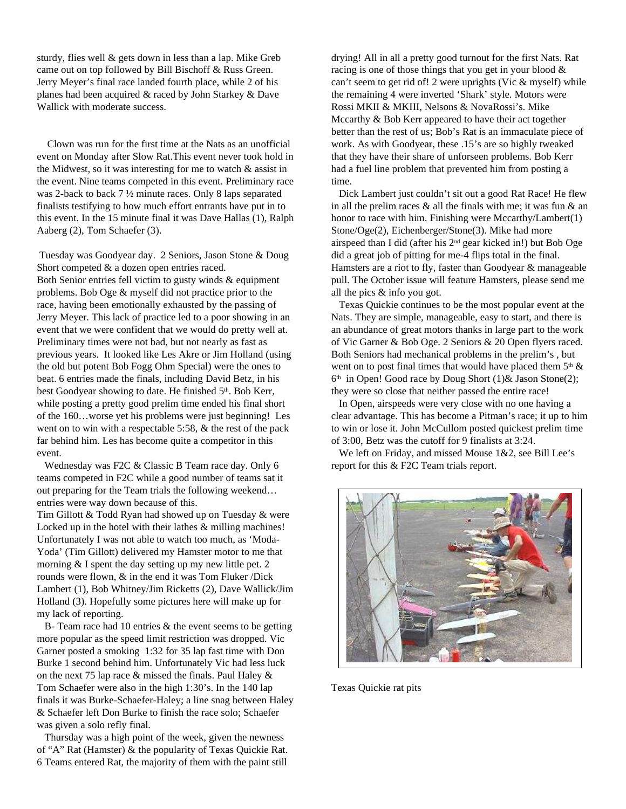sturdy, flies well & gets down in less than a lap. Mike Greb came out on top followed by Bill Bischoff & Russ Green. Jerry Meyer's final race landed fourth place, while 2 of his planes had been acquired & raced by John Starkey & Dave Wallick with moderate success.

Clown was run for the first time at the Nats as an unofficial event on Monday after Slow Rat.This event never took hold in the Midwest, so it was interesting for me to watch  $\&$  assist in the event. Nine teams competed in this event. Preliminary race was 2-back to back 7 ½ minute races. Only 8 laps separated finalists testifying to how much effort entrants have put in to this event. In the 15 minute final it was Dave Hallas (1), Ralph Aaberg (2), Tom Schaefer (3).

Tuesday was Goodyear day. 2 Seniors, Jason Stone & Doug Short competed & a dozen open entries raced. Both Senior entries fell victim to gusty winds & equipment problems. Bob Oge & myself did not practice prior to the race, having been emotionally exhausted by the passing of Jerry Meyer. This lack of practice led to a poor showing in an event that we were confident that we would do pretty well at. Preliminary times were not bad, but not nearly as fast as previous years. It looked like Les Akre or Jim Holland (using the old but potent Bob Fogg Ohm Special) were the ones to beat. 6 entries made the finals, including David Betz, in his best Goodyear showing to date. He finished 5th. Bob Kerr, while posting a pretty good prelim time ended his final short of the 160…worse yet his problems were just beginning! Les went on to win with a respectable 5:58, & the rest of the pack far behind him. Les has become quite a competitor in this event.

Wednesday was F2C & Classic B Team race day. Only 6 teams competed in F2C while a good number of teams sat it out preparing for the Team trials the following weekend… entries were way down because of this.

Tim Gillott & Todd Ryan had showed up on Tuesday & were Locked up in the hotel with their lathes  $\&$  milling machines! Unfortunately I was not able to watch too much, as 'Moda-Yoda' (Tim Gillott) delivered my Hamster motor to me that morning & I spent the day setting up my new little pet. 2 rounds were flown, & in the end it was Tom Fluker /Dick Lambert (1), Bob Whitney/Jim Ricketts (2), Dave Wallick/Jim Holland (3). Hopefully some pictures here will make up for my lack of reporting.

B- Team race had 10 entries & the event seems to be getting more popular as the speed limit restriction was dropped. Vic Garner posted a smoking 1:32 for 35 lap fast time with Don Burke 1 second behind him. Unfortunately Vic had less luck on the next 75 lap race & missed the finals. Paul Haley & Tom Schaefer were also in the high 1:30's. In the 140 lap finals it was Burke-Schaefer-Haley; a line snag between Haley & Schaefer left Don Burke to finish the race solo; Schaefer was given a solo refly final.

Thursday was a high point of the week, given the newness of "A" Rat (Hamster) & the popularity of Texas Quickie Rat. 6 Teams entered Rat, the majority of them with the paint still

drying! All in all a pretty good turnout for the first Nats. Rat racing is one of those things that you get in your blood & can't seem to get rid of! 2 were uprights (Vic & myself) while the remaining 4 were inverted 'Shark' style. Motors were Rossi MKII & MKIII, Nelsons & NovaRossi's. Mike Mccarthy & Bob Kerr appeared to have their act together better than the rest of us; Bob's Rat is an immaculate piece of work. As with Goodyear, these .15's are so highly tweaked that they have their share of unforseen problems. Bob Kerr had a fuel line problem that prevented him from posting a time.

Dick Lambert just couldn't sit out a good Rat Race! He flew in all the prelim races  $\&$  all the finals with me; it was fun  $\&$  an honor to race with him. Finishing were Mccarthy/Lambert(1) Stone/Oge(2), Eichenberger/Stone(3). Mike had more airspeed than I did (after his 2 nd gear kicked in!) but Bob Oge did a great job of pitting for me-4 flips total in the final. Hamsters are a riot to fly, faster than Goodyear & manageable pull. The October issue will feature Hamsters, please send me all the pics & info you got.

Texas Quickie continues to be the most popular event at the Nats. They are simple, manageable, easy to start, and there is an abundance of great motors thanks in large part to the work of Vic Garner & Bob Oge. 2 Seniors & 20 Open flyers raced. Both Seniors had mechanical problems in the prelim's , but went on to post final times that would have placed them  $5<sup>th</sup>$  & 6 th in Open! Good race by Doug Short (1)& Jason Stone(2); they were so close that neither passed the entire race!

In Open, airspeeds were very close with no one having a clear advantage. This has become a Pitman's race; it up to him to win or lose it. John McCullom posted quickest prelim time of 3:00, Betz was the cutoff for 9 finalists at 3:24.

We left on Friday, and missed Mouse 1&2, see Bill Lee's report for this & F2C Team trials report.



Texas Quickie rat pits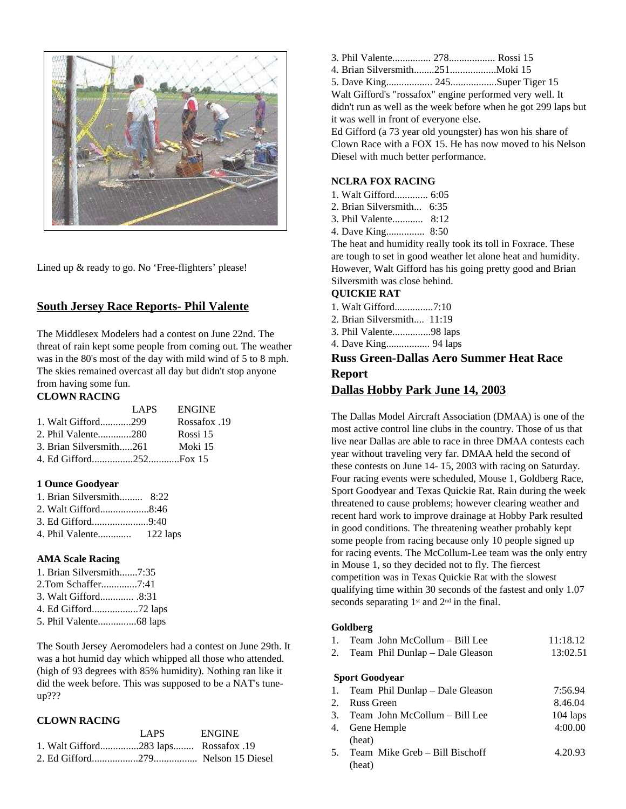

Lined up & ready to go. No 'Free-flighters' please!

## **South Jersey Race Reports- Phil Valente**

The Middlesex Modelers had a contest on June 22nd. The threat of rain kept some people from coming out. The weather was in the 80's most of the day with mild wind of 5 to 8 mph. The skies remained overcast all day but didn't stop anyone from having some fun.

#### **CLOWN RACING**

|                         | LAPS. | <b>ENGINE</b> |
|-------------------------|-------|---------------|
| 1. Walt Gifford299      |       | Possafox .19  |
| 2. Phil Valente280      |       | Rossi 15      |
| 3. Brian Silversmith261 |       | Moki 15       |
|                         |       |               |

#### **1 Ounce Goodyear**

| 1. Brian Silversmith 8:22 |  |
|---------------------------|--|
| 2. Walt Gifford8:46       |  |
| 3. Ed Gifford9:40         |  |
|                           |  |

#### **AMA Scale Racing**

| 1. Brian Silversmith7:35 |  |
|--------------------------|--|
| 2.Tom Schaffer7:41       |  |
| 3. Walt Gifford 8:31     |  |
|                          |  |
|                          |  |

The South Jersey Aeromodelers had a contest on June 29th. It was a hot humid day which whipped all those who attended. (high of 93 degrees with 85% humidity). Nothing ran like it did the week before. This was supposed to be a NAT's tuneup???

#### **CLOWN RACING**

|                                      | LAPS | <b>ENGINE</b> |
|--------------------------------------|------|---------------|
| 1. Walt Gifford283 laps Rossafox .19 |      |               |
|                                      |      |               |

- 3. Phil Valente............... 278.................. Rossi 15
- 4. Brian Silversmith........251..................Moki 15

5. Dave King.................. 245..................Super Tiger 15

Walt Gifford's "rossafox" engine performed very well. It didn't run as well as the week before when he got 299 laps but it was well in front of everyone else.

Ed Gifford (a 73 year old youngster) has won his share of Clown Race with a FOX 15. He has now moved to his Nelson Diesel with much better performance.

#### **NCLRA FOX RACING**

- 1. Walt Gifford............. 6:05
- 2. Brian Silversmith... 6:35
- 3. Phil Valente............ 8:12
- 4. Dave King............... 8:50

The heat and humidity really took its toll in Foxrace. These are tough to set in good weather let alone heat and humidity. However, Walt Gifford has his going pretty good and Brian Silversmith was close behind.

#### **QUICKIE RAT**

- 1. Walt Gifford...............7:10
- 2. Brian Silversmith.... 11:19
- 3. Phil Valente...............98 laps
- 4. Dave King................. 94 laps

## **Russ Green-Dallas Aero Summer Heat Race Report**

#### **Dallas Hobby Park June 14, 2003**

The Dallas Model Aircraft Association (DMAA) is one of the most active control line clubs in the country. Those of us that live near Dallas are able to race in three DMAA contests each year without traveling very far. DMAA held the second of these contests on June 14- 15, 2003 with racing on Saturday. Four racing events were scheduled, Mouse 1, Goldberg Race, Sport Goodyear and Texas Quickie Rat. Rain during the week threatened to cause problems; however clearing weather and recent hard work to improve drainage at Hobby Park resulted in good conditions. The threatening weather probably kept some people from racing because only 10 people signed up for racing events. The McCollum-Lee team was the only entry in Mouse 1, so they decided not to fly. The fiercest competition was in Texas Quickie Rat with the slowest qualifying time within 30 seconds of the fastest and only 1.07 seconds separating  $1<sup>st</sup>$  and  $2<sup>nd</sup>$  in the final.

#### **Goldberg**

|  | 1. Team John McCollum – Bill Lee   | 11:18.12 |
|--|------------------------------------|----------|
|  | 2. Team Phil Dunlap – Dale Gleason | 13:02.51 |
|  | <b>Sport Goodyear</b>              |          |

| 1. Team Phil Dunlap – Dale Gleason | 7:56.94    |
|------------------------------------|------------|
| 2. Russ Green                      | 8.46.04    |
| 3. Team John McCollum – Bill Lee   | $104$ laps |
| 4. Gene Hemple                     | 4:00.00    |
| (heat)                             |            |

5. Team Mike Greb – Bill Bischoff 4.20.93 (heat)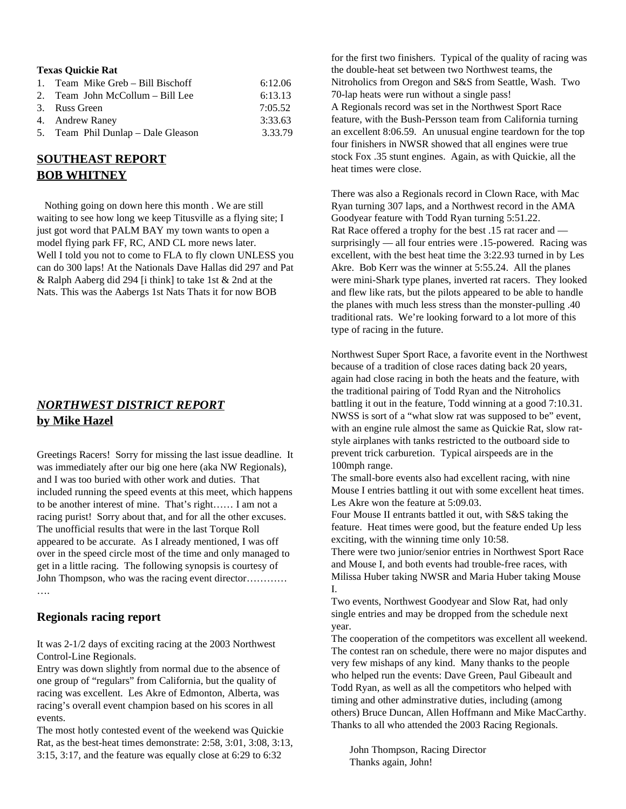| <b>Texas Quickie Rat</b>           |         |
|------------------------------------|---------|
| 1. Team Mike Greb - Bill Bischoff  | 6:12.06 |
| 2. Team John McCollum – Bill Lee   | 6:13.13 |
| 3. Russ Green                      | 7:05.52 |
| 4. Andrew Raney                    | 3:33.63 |
| 5. Team Phil Dunlap – Dale Gleason | 3.33.79 |

## **SOUTHEAST REPORT BOB WHITNEY**

Nothing going on down here this month . We are still waiting to see how long we keep Titusville as a flying site; I just got word that PALM BAY my town wants to open a model flying park FF, RC, AND CL more news later. Well I told you not to come to FLA to fly clown UNLESS you can do 300 laps! At the Nationals Dave Hallas did 297 and Pat & Ralph Aaberg did 294 [i think] to take 1st & 2nd at the Nats. This was the Aabergs 1st Nats Thats it for now BOB

## *NORTHWEST DISTRICT REPORT* **by Mike Hazel**

Greetings Racers! Sorry for missing the last issue deadline. It was immediately after our big one here (aka NW Regionals), and I was too buried with other work and duties. That included running the speed events at this meet, which happens to be another interest of mine. That's right…… I am not a racing purist! Sorry about that, and for all the other excuses. The unofficial results that were in the last Torque Roll appeared to be accurate. As I already mentioned, I was off over in the speed circle most of the time and only managed to get in a little racing. The following synopsis is courtesy of John Thompson, who was the racing event director………… ….

#### **Regionals racing report**

It was 2-1/2 days of exciting racing at the 2003 Northwest Control-Line Regionals.

Entry was down slightly from normal due to the absence of one group of "regulars" from California, but the quality of racing was excellent. Les Akre of Edmonton, Alberta, was racing's overall event champion based on his scores in all events.

The most hotly contested event of the weekend was Quickie Rat, as the best-heat times demonstrate: 2:58, 3:01, 3:08, 3:13, 3:15, 3:17, and the feature was equally close at 6:29 to 6:32

for the first two finishers. Typical of the quality of racing was the double-heat set between two Northwest teams, the Nitroholics from Oregon and S&S from Seattle, Wash. Two 70-lap heats were run without a single pass! A Regionals record was set in the Northwest Sport Race feature, with the Bush-Persson team from California turning an excellent 8:06.59. An unusual engine teardown for the top four finishers in NWSR showed that all engines were true stock Fox .35 stunt engines. Again, as with Quickie, all the heat times were close.

There was also a Regionals record in Clown Race, with Mac Ryan turning 307 laps, and a Northwest record in the AMA Goodyear feature with Todd Ryan turning 5:51.22. Rat Race offered a trophy for the best .15 rat racer and surprisingly — all four entries were .15-powered. Racing was excellent, with the best heat time the 3:22.93 turned in by Les Akre. Bob Kerr was the winner at 5:55.24. All the planes were mini-Shark type planes, inverted rat racers. They looked and flew like rats, but the pilots appeared to be able to handle the planes with much less stress than the monster-pulling .40 traditional rats. We're looking forward to a lot more of this type of racing in the future.

Northwest Super Sport Race, a favorite event in the Northwest because of a tradition of close races dating back 20 years, again had close racing in both the heats and the feature, with the traditional pairing of Todd Ryan and the Nitroholics battling it out in the feature, Todd winning at a good 7:10.31. NWSS is sort of a "what slow rat was supposed to be" event, with an engine rule almost the same as Quickie Rat, slow ratstyle airplanes with tanks restricted to the outboard side to prevent trick carburetion. Typical airspeeds are in the 100mph range.

The small-bore events also had excellent racing, with nine Mouse I entries battling it out with some excellent heat times. Les Akre won the feature at 5:09.03.

Four Mouse II entrants battled it out, with S&S taking the feature. Heat times were good, but the feature ended Up less exciting, with the winning time only 10:58.

There were two junior/senior entries in Northwest Sport Race and Mouse I, and both events had trouble-free races, with Milissa Huber taking NWSR and Maria Huber taking Mouse I.

Two events, Northwest Goodyear and Slow Rat, had only single entries and may be dropped from the schedule next year.

The cooperation of the competitors was excellent all weekend. The contest ran on schedule, there were no major disputes and very few mishaps of any kind. Many thanks to the people who helped run the events: Dave Green, Paul Gibeault and Todd Ryan, as well as all the competitors who helped with timing and other adminstrative duties, including (among others) Bruce Duncan, Allen Hoffmann and Mike MacCarthy. Thanks to all who attended the 2003 Racing Regionals.

John Thompson, Racing Director Thanks again, John!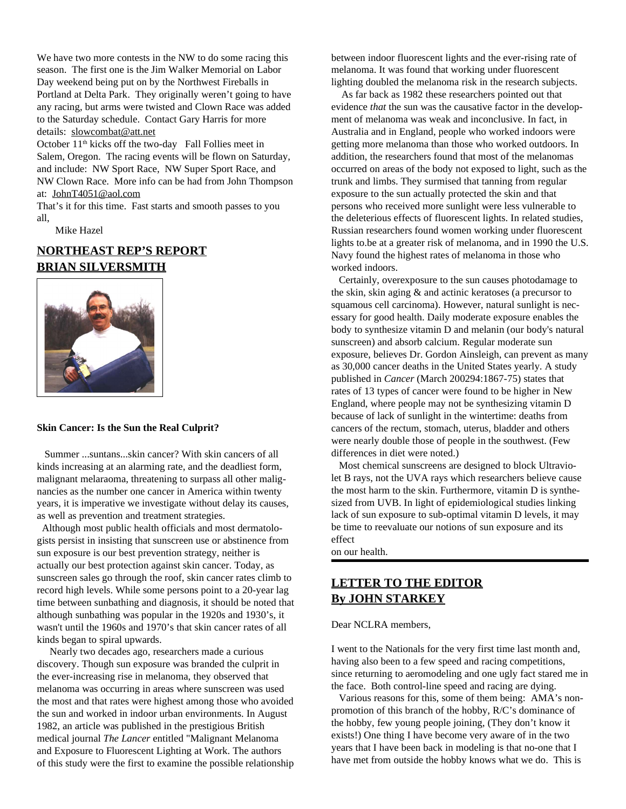We have two more contests in the NW to do some racing this season. The first one is the Jim Walker Memorial on Labor Day weekend being put on by the Northwest Fireballs in Portland at Delta Park. They originally weren't going to have any racing, but arms were twisted and Clown Race was added to the Saturday schedule. Contact Gary Harris for more details: slowcombat@att.net

October 11<sup>th</sup> kicks off the two-day Fall Follies meet in Salem, Oregon. The racing events will be flown on Saturday, and include: NW Sport Race, NW Super Sport Race, and NW Clown Race. More info can be had from John Thompson at: JohnT4051@aol.com

That's it for this time. Fast starts and smooth passes to you all,

Mike Hazel

## **NORTHEAST REP'S REPORT BRIAN SILVERSMITH**



#### **Skin Cancer: Is the Sun the Real Culprit?**

Summer ...suntans...skin cancer? With skin cancers of all kinds increasing at an alarming rate, and the deadliest form, malignant melaraoma, threatening to surpass all other malignancies as the number one cancer in America within twenty years, it is imperative we investigate without delay its causes, as well as prevention and treatment strategies.

Although most public health officials and most dermatologists persist in insisting that sunscreen use or abstinence from sun exposure is our best prevention strategy, neither is actually our best protection against skin cancer. Today, as sunscreen sales go through the roof, skin cancer rates climb to record high levels. While some persons point to a 20-year lag time between sunbathing and diagnosis, it should be noted that although sunbathing was popular in the 1920s and 1930's, it wasn't until the 1960s and 1970's that skin cancer rates of all kinds began to spiral upwards.

Nearly two decades ago, researchers made a curious discovery. Though sun exposure was branded the culprit in the ever-increasing rise in melanoma, they observed that melanoma was occurring in areas where sunscreen was used the most and that rates were highest among those who avoided the sun and worked in indoor urban environments. In August 1982, an article was published in the prestigious British medical journal *The Lancer* entitled "Malignant Melanoma and Exposure to Fluorescent Lighting at Work. The authors of this study were the first to examine the possible relationship between indoor fluorescent lights and the ever-rising rate of melanoma. It was found that working under fluorescent lighting doubled the melanoma risk in the research subjects.

As far back as 1982 these researchers pointed out that evidence *that* the sun was the causative factor in the development of melanoma was weak and inconclusive. In fact, in Australia and in England, people who worked indoors were getting more melanoma than those who worked outdoors. In addition, the researchers found that most of the melanomas occurred on areas of the body not exposed to light, such as the trunk and limbs. They surmised that tanning from regular exposure to the sun actually protected the skin and that persons who received more sunlight were less vulnerable to the deleterious effects of fluorescent lights. In related studies, Russian researchers found women working under fluorescent lights to.be at a greater risk of melanoma, and in 1990 the U.S. Navy found the highest rates of melanoma in those who worked indoors.

Certainly, overexposure to the sun causes photodamage to the skin, skin aging & and actinic keratoses (a precursor to squamous cell carcinoma). However, natural sunlight is necessary for good health. Daily moderate exposure enables the body to synthesize vitamin D and melanin (our body's natural sunscreen) and absorb calcium. Regular moderate sun exposure, believes Dr. Gordon Ainsleigh, can prevent as many as 30,000 cancer deaths in the United States yearly. A study published in *Cancer* (March 200294:1867-75) states that rates of 13 types of cancer were found to be higher in New England, where people may not be synthesizing vitamin D because of lack of sunlight in the wintertime: deaths from cancers of the rectum, stomach, uterus, bladder and others were nearly double those of people in the southwest. (Few differences in diet were noted.)

Most chemical sunscreens are designed to block Ultraviolet B rays, not the UVA rays which researchers believe cause the most harm to the skin. Furthermore, vitamin D is synthesized from UVB. In light of epidemiological studies linking lack of sun exposure to sub-optimal vitamin D levels, it may be time to reevaluate our notions of sun exposure and its effect

on our health.

## **LETTER TO THE EDITOR By JOHN STARKEY**

Dear NCLRA members,

I went to the Nationals for the very first time last month and, having also been to a few speed and racing competitions, since returning to aeromodeling and one ugly fact stared me in the face. Both control-line speed and racing are dying.

Various reasons for this, some of them being: AMA's nonpromotion of this branch of the hobby, R/C's dominance of the hobby, few young people joining, (They don't know it exists!) One thing I have become very aware of in the two years that I have been back in modeling is that no-one that I have met from outside the hobby knows what we do. This is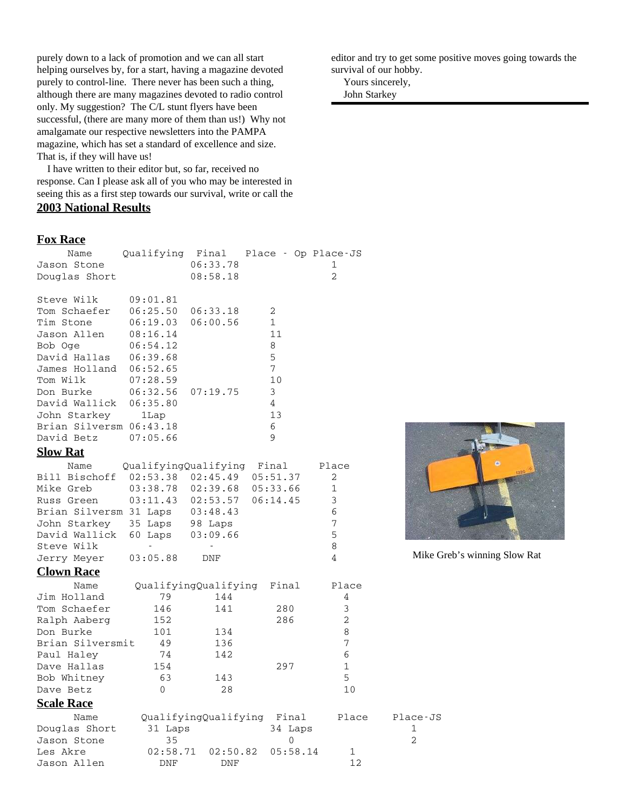purely down to a lack of promotion and we can all start helping ourselves by, for a start, having a magazine devoted purely to control-line. There never has been such a thing, although there are many magazines devoted to radio control only. My suggestion? The C/L stunt flyers have been successful, (there are many more of them than us!) Why not amalgamate our respective newsletters into the PAMPA magazine, which has set a standard of excellence and size. That is, if they will have us!

I have written to their editor but, so far, received no response. Can I please ask all of you who may be interested in seeing this as a first step towards our survival, write or call the **2003 National Results**

#### **Fox Race**

|                                              | 06:33.78<br>08:58.18      |                                                                                                           | 1<br>$\overline{2}$                                                                                                                                           |                                                                |
|----------------------------------------------|---------------------------|-----------------------------------------------------------------------------------------------------------|---------------------------------------------------------------------------------------------------------------------------------------------------------------|----------------------------------------------------------------|
| 09:01.81<br>06:25.50<br>06:19.03<br>08:16.14 | 06:33.18<br>06:00.56      | 2<br>$\mathbf 1$<br>11                                                                                    |                                                                                                                                                               |                                                                |
| 06:39.68<br>06:52.65<br>07:28.59             |                           | 5<br>7<br>10                                                                                              |                                                                                                                                                               |                                                                |
| 06:35.80<br>1Lap<br>Brian Silversm 06:43.18  |                           | 4<br>13<br>6                                                                                              |                                                                                                                                                               |                                                                |
| 07:05.66                                     |                           | 9                                                                                                         |                                                                                                                                                               |                                                                |
|                                              |                           |                                                                                                           |                                                                                                                                                               |                                                                |
|                                              |                           |                                                                                                           | 2                                                                                                                                                             |                                                                |
|                                              |                           |                                                                                                           | 1                                                                                                                                                             |                                                                |
|                                              |                           | 06:14.45                                                                                                  | $\mathfrak{Z}$                                                                                                                                                |                                                                |
| Brian Silversm 31 Laps                       |                           |                                                                                                           | 6                                                                                                                                                             |                                                                |
| John Starkey<br>35 Laps                      | 98 Laps                   |                                                                                                           | 7                                                                                                                                                             |                                                                |
| David Wallick<br>60 Laps                     | 03:09.66                  |                                                                                                           | 5                                                                                                                                                             |                                                                |
|                                              |                           |                                                                                                           | 8                                                                                                                                                             |                                                                |
| 03:05.88                                     | DNF                       |                                                                                                           | 4                                                                                                                                                             | Mike C                                                         |
|                                              |                           |                                                                                                           |                                                                                                                                                               |                                                                |
|                                              |                           | Final                                                                                                     | Place                                                                                                                                                         |                                                                |
| 79                                           | 144                       |                                                                                                           | 4                                                                                                                                                             |                                                                |
| 146                                          | 141                       | 280                                                                                                       | 3                                                                                                                                                             |                                                                |
| 152                                          |                           | 286                                                                                                       | $\overline{2}$                                                                                                                                                |                                                                |
| 101                                          | 134                       |                                                                                                           | 8                                                                                                                                                             |                                                                |
| Brian Silversmit<br>49                       | 136                       |                                                                                                           | 7                                                                                                                                                             |                                                                |
| 74                                           | 142                       |                                                                                                           | 6                                                                                                                                                             |                                                                |
| 154                                          |                           | 297                                                                                                       | 1                                                                                                                                                             |                                                                |
| 63                                           | 143                       |                                                                                                           |                                                                                                                                                               |                                                                |
|                                              |                           |                                                                                                           |                                                                                                                                                               |                                                                |
|                                              |                           |                                                                                                           |                                                                                                                                                               |                                                                |
|                                              |                           | Final                                                                                                     | Place                                                                                                                                                         | Place-JS                                                       |
| 35                                           |                           | 0                                                                                                         |                                                                                                                                                               | 1<br>$\overline{2}$                                            |
|                                              |                           |                                                                                                           | 1                                                                                                                                                             |                                                                |
| <b>DNF</b>                                   | DNF                       |                                                                                                           | 12                                                                                                                                                            |                                                                |
|                                              | 06:54.12<br>06:32.56<br>0 | Qualifying Final<br>07:19.75<br>03:38.78<br>02:39.68<br>03:11.43<br>03:48.43<br>28<br>31 Laps<br>02:58.71 | 8<br>3<br>QualifyingQualifying Final<br>$02:53.38$ $02:45.49$<br>05:51.37<br>05:33.66<br>02:53.57<br>QualifyingQualifying<br>QualifyingQualifying<br>02:50.82 | Place - Op Place-JS<br>Place<br>5<br>10<br>34 Laps<br>05:58.14 |

editor and try to get some positive moves going towards the survival of our hobby.

 Yours sincerely, John Starkey



Mike Greb's winning Slow Rat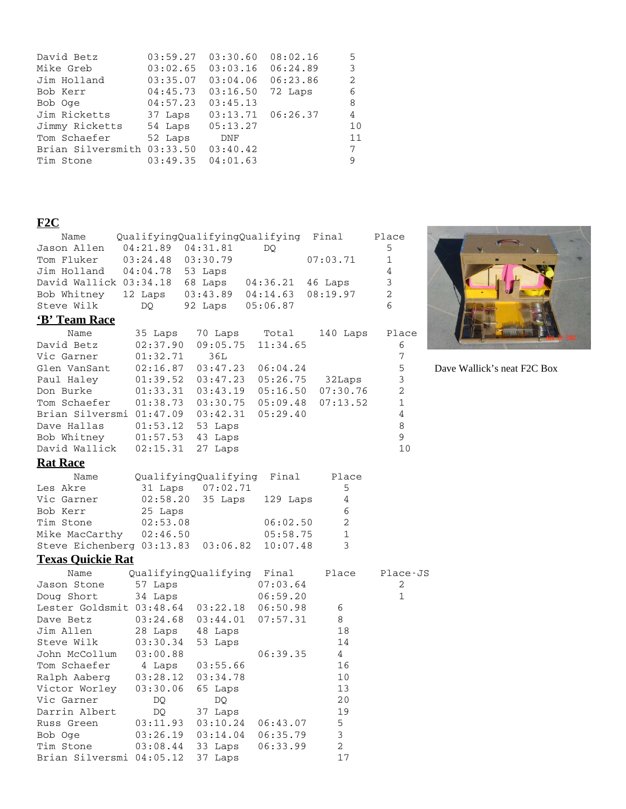| David Betz                 | 03:59.27 | 03:30.60              | 08:02.16 | 5  |
|----------------------------|----------|-----------------------|----------|----|
| Mike Greb                  | 03:02.65 | 03:03.16              | 06:24.89 | 3  |
| Jim Holland                | 03:35.07 | 03:04.06              | 06:23.86 | 2  |
| Bob Kerr                   | 04:45.73 | 03:16.50              | 72 Laps  | 6  |
| Bob Oge                    | 04:57.23 | 03:45.13              |          | 8  |
| Jim Ricketts               | 37 Laps  | $03:13.71$ $06:26.37$ |          | 4  |
| Jimmy Ricketts             | 54 Laps  | 05:13.27              |          | 10 |
| Tom Schaefer               | 52 Laps  | DNF                   |          | 11 |
| Brian Silversmith 03:33.50 |          | 03:40.42              |          | 7  |
| Tim Stone                  | 03:49.35 | 04:01.63              |          | 9  |

## **F2C**

| Name                      |                   | QualifyingQualifyingQualifying |          | Final          | Place          |
|---------------------------|-------------------|--------------------------------|----------|----------------|----------------|
| Jason Allen               | 04:21.89          | 04:31.81                       | DO.      |                | 5              |
| Tom Fluker                | 03:24.48 03:30.79 |                                |          | 07:03.71       | 1              |
| Jim Holland               | 04:04.78 53 Laps  |                                |          |                | 4              |
| David Wallick 03:34.18    |                   | 68 Laps                        | 04:36.21 | 46 Laps        | 3              |
| Bob Whitney               | 12 Laps           | 03:43.89                       | 04:14.63 | 08:19.97       | $\overline{c}$ |
| Steve Wilk                | DO                | 92 Laps                        | 05:06.87 |                | 6              |
| 'B' Team Race             |                   |                                |          |                |                |
| Name                      | 35 Laps           | 70 Laps                        | Total    | 140 Laps       | Place          |
| David Betz                | 02:37.90          | 09:05.75                       | 11:34.65 |                | 6              |
| Vic Garner                | 01:32.71          | 36L                            |          |                | 7              |
| Glen VanSant              | 02:16.87          | 03:47.23                       | 06:04.24 |                | 5              |
| Paul Haley                | 01:39.52          | 03:47.23                       | 05:26.75 | 32Laps         | 3              |
| Don Burke                 | 01:33.31          | 03:43.19                       | 05:16.50 | 07:30.76       | $\overline{a}$ |
| Tom Schaefer              | 01:38.73          | 03:30.75                       | 05:09.48 | 07:13.52       | 1              |
| Brian Silversmi 01:47.09  |                   | 03:42.31                       | 05:29.40 |                | 4              |
| Dave Hallas               | 01:53.12          | 53 Laps                        |          |                | 8              |
| Bob Whitney               | 01:57.53          | 43 Laps                        |          |                | 9              |
| David Wallick             | 02:15.31          | 27 Laps                        |          |                | 10             |
| <b>Rat Race</b>           |                   |                                |          |                |                |
| Name                      |                   | QualifyingQualifying           | Final    | Place          |                |
| Les Akre                  | 31 Laps           | 07:02.71                       |          | 5              |                |
| Vic Garner                | 02:58.20          | 35 Laps                        | 129 Laps | 4              |                |
| Bob Kerr                  | 25 Laps           |                                |          | 6              |                |
| Tim Stone                 | 02:53.08          |                                | 06:02.50 | $\overline{2}$ |                |
| Mike MacCarthy            | 02:46.50          |                                | 05:58.75 | 1              |                |
| Steve Eichenberg 03:13.83 |                   | 03:06.82                       | 10:07.48 | 3              |                |
| <b>Texas Ouickie Rat</b>  |                   |                                |          |                |                |
| Name                      |                   | QualifyingQualifying           | Final    | Place          | Place-JS       |
| Jason Stone               | 57 Laps           |                                | 07:03.64 |                | 2              |
| Doug Short                | 34 Laps           |                                | 06:59.20 |                | 1              |
| Lester Goldsmit 03:48.64  |                   | 03:22.18                       | 06:50.98 | 6              |                |
| Dave Betz                 | 03:24.68          | 03:44.01                       | 07:57.31 | 8              |                |
| Jim Allen                 | 28 Laps           | 48 Laps                        |          | 18             |                |
| Steve Wilk                | 03:30.34          | 53 Laps                        |          | 14             |                |
| John McCollum             | 03:00.88          |                                | 06:39.35 | 4              |                |
| Tom Schaefer              | 4 Laps            | 03:55.66                       |          | 16             |                |
| Ralph Aaberg              | 03:28.12          | 03:34.78                       |          | 10             |                |
| Victor Worley             | 03:30.06          | 65 Laps                        |          | 13             |                |
| Vic Garner                | DQ                | DQ.                            |          | 20             |                |
| Darrin Albert             | DQ                | 37 Laps                        |          | 19             |                |
| Russ Green                | 03:11.93          | 03:10.24                       | 06:43.07 | 5              |                |
| Bob Oge                   | 03:26.19          | 03:14.04                       | 06:35.79 | 3              |                |
| Tim Stone                 | 03:08.44          | 33 Laps                        | 06:33.99 | $\overline{2}$ |                |

Brian Silversmi 04:05.12 37 Laps 17



Dave Wallick's neat F2C Box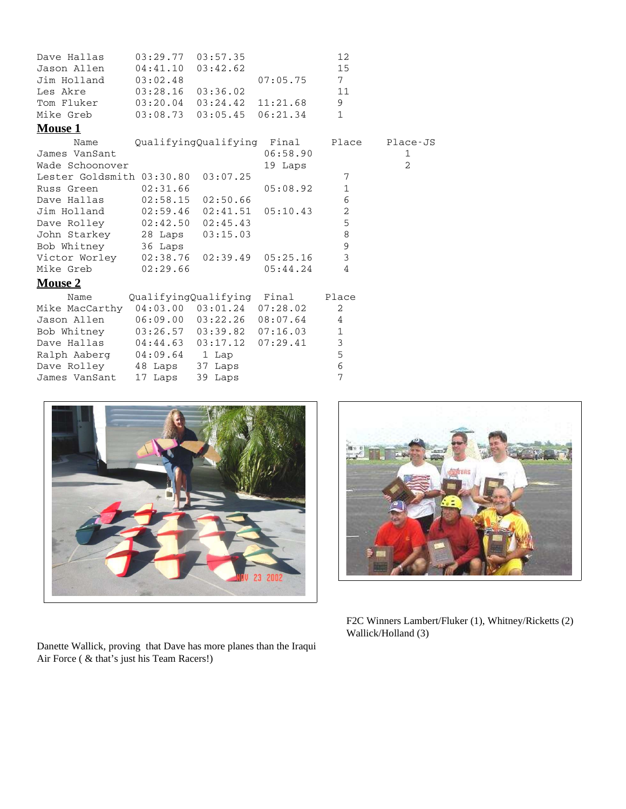| Dave Hallas                               | $03:29.77$ $03:57.35$      |                                  |                                  | 12             |                |
|-------------------------------------------|----------------------------|----------------------------------|----------------------------------|----------------|----------------|
| Jason Allen                               | 04:41.10                   | 03:42.62                         |                                  | 15             |                |
| Jim Holland                               | 03:02.48                   |                                  | 07:05.75                         | 7 <sup>7</sup> |                |
| Les Akre                                  | $03:28.16$ $03:36.02$      |                                  |                                  | 11             |                |
| Tom Fluker                                |                            | $03:20.04$ $03:24.42$ $11:21.68$ |                                  | 9              |                |
| Mike Greb                                 |                            | $03:08.73$ $03:05.45$ $06:21.34$ |                                  | $\mathbf{1}$   |                |
| <b>Mouse 1</b>                            |                            |                                  |                                  |                |                |
| Name                                      |                            |                                  | QualifyingQualifying Final       | Place          | Plac           |
| James VanSant                             |                            |                                  | 06:58.90                         |                | 1              |
| Wade Schoonover                           |                            |                                  | 19 Laps                          |                | $\overline{2}$ |
| Lester Goldsmith 03:30.80 03:07.25        |                            |                                  |                                  | 7              |                |
| Russ Green                                | 02:31.66                   |                                  | 05:08.92                         | $1\,$          |                |
| Dave Hallas 02:58.15 02:50.66             |                            |                                  |                                  | 6              |                |
| Jim Holland 02:59.46 02:41.51 05:10.43    |                            |                                  |                                  | $\overline{a}$ |                |
| Dave Rolley 02:42.50 02:45.43             |                            |                                  |                                  | 5              |                |
| John Starkey 28 Laps 03:15.03             |                            |                                  |                                  | $\,8\,$        |                |
| Bob Whitney 36 Laps                       |                            |                                  |                                  | 9              |                |
| Victor Worley 02:38.76 02:39.49 05:25.16  |                            |                                  |                                  | $\mathfrak{Z}$ |                |
| Mike Greb 02:29.66                        |                            |                                  | 05:44.24                         | 4              |                |
| <b>Mouse 2</b>                            |                            |                                  |                                  |                |                |
| Name                                      | QualifyingQualifying Final |                                  |                                  | Place          |                |
| Mike MacCarthy 04:03.00 03:01.24 07:28.02 |                            |                                  |                                  | $\overline{2}$ |                |
| Jason Allen                               |                            |                                  | $06:09.00$ $03:22.26$ $08:07.64$ | 4              |                |
| Bob Whitney                               |                            |                                  | $03:26.57$ $03:39.82$ $07:16.03$ | $\mathbf 1$    |                |
| Dave Hallas                               |                            |                                  | $04:44.63$ $03:17.12$ $07:29.41$ | $\mathfrak{Z}$ |                |
| Ralph Aaberg 04:09.64 1 Lap               |                            |                                  |                                  | 5              |                |
| Dave Rolley 48 Laps                       |                            | 37 Laps                          |                                  | $\sqrt{6}$     |                |
| James VanSant                             | 17 Laps                    | 39 Laps                          |                                  | 7              |                |



Danette Wallick, proving that Dave has more planes than the Iraqui Air Force ( & that's just his Team Racers!)



Place -  $JS$ <br>1

F2C Winners Lambert/Fluker (1), Whitney/Ricketts (2) Wallick/Holland (3)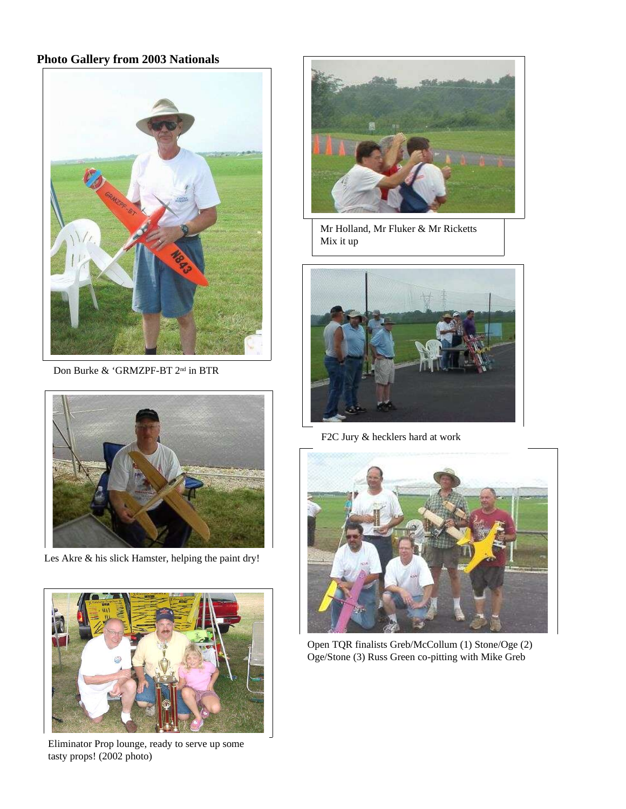## **Photo Gallery from 2003 Nationals**



Don Burke & 'GRMZPF-BT 2<sup>nd</sup> in BTR



Les Akre & his slick Hamster, helping the paint dry!



Eliminator Prop lounge, ready to serve up some tasty props! (2002 photo)



Mr Holland, Mr Fluker & Mr Ricketts Mix it up



F2C Jury & hecklers hard at work



Open TQR finalists Greb/McCollum (1) Stone/Oge (2) Oge/Stone (3) Russ Green co-pitting with Mike Greb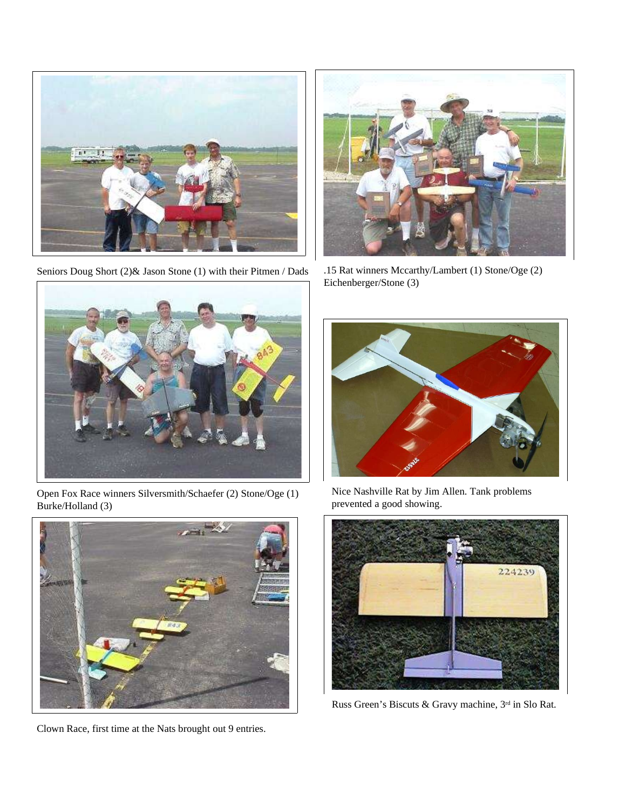

Seniors Doug Short (2)& Jason Stone (1) with their Pitmen / Dads



.15 Rat winners Mccarthy/Lambert (1) Stone/Oge (2) Eichenberger/Stone (3)



Open Fox Race winners Silversmith/Schaefer (2) Stone/Oge (1) Burke/Holland (3)



Clown Race, first time at the Nats brought out 9 entries.



Nice Nashville Rat by Jim Allen. Tank problems prevented a good showing.



Russ Green's Biscuts & Gravy machine, 3<sup>rd</sup> in Slo Rat.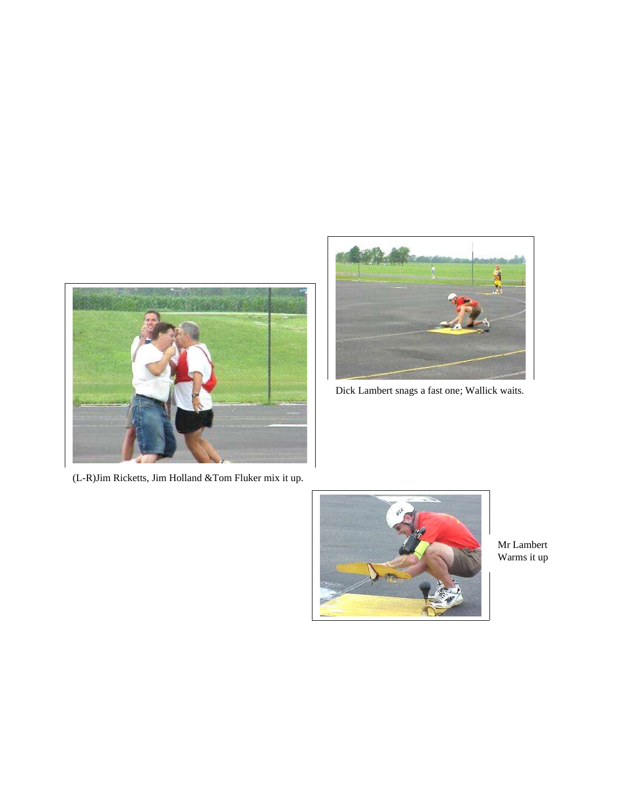



Dick Lambert snags a fast one; Wallick waits.

(L-R)Jim Ricketts, Jim Holland &Tom Fluker mix it up.



Mr Lambert Warms it up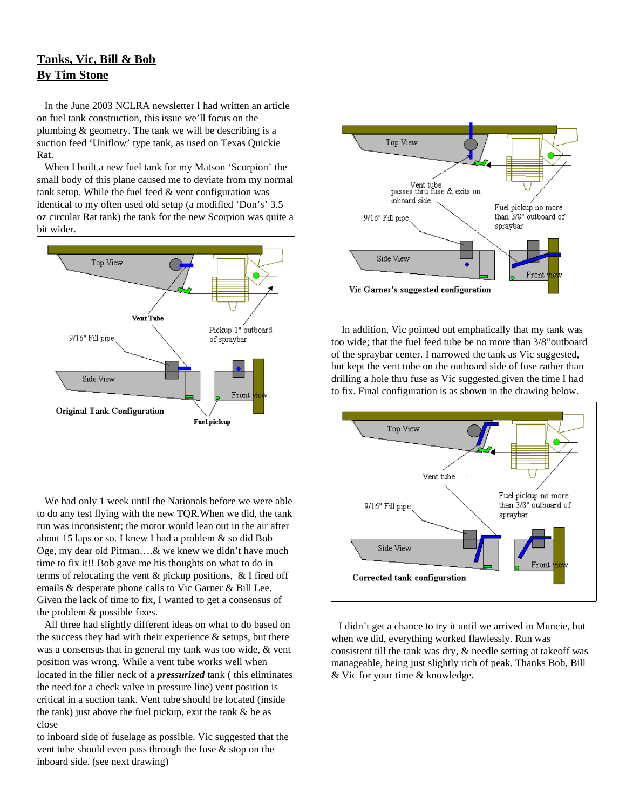## **Tanks, Vic, Bill & Bob By Tim Stone**

In the June 2003 NCLRA newsletter I had written an article on fuel tank construction, this issue we'll focus on the plumbing & geometry. The tank we will be describing is a suction feed 'Uniflow' type tank, as used on Texas Quickie Rat.

When I built a new fuel tank for my Matson 'Scorpion' the small body of this plane caused me to deviate from my normal tank setup. While the fuel feed & vent configuration was identical to my often used old setup (a modified 'Don's' 3.5 oz circular Rat tank) the tank for the new Scorpion was quite a bit wider.



We had only 1 week until the Nationals before we were able to do any test flying with the new TQR.When we did, the tank run was inconsistent; the motor would lean out in the air after about 15 laps or so. I knew I had a problem & so did Bob Oge, my dear old Pitman….& we knew we didn't have much time to fix it!! Bob gave me his thoughts on what to do in terms of relocating the vent & pickup positions, & I fired off emails & desperate phone calls to Vic Garner & Bill Lee. Given the lack of time to fix, I wanted to get a consensus of the problem & possible fixes.

All three had slightly different ideas on what to do based on the success they had with their experience  $\&$  setups, but there was a consensus that in general my tank was too wide, & vent position was wrong. While a vent tube works well when located in the filler neck of a *pressurized* tank ( this eliminates the need for a check valve in pressure line) vent position is critical in a suction tank. Vent tube should be located (inside the tank) just above the fuel pickup, exit the tank & be as close

to inboard side of fuselage as possible. Vic suggested that the vent tube should even pass through the fuse & stop on the inboard side. (see next drawing)



In addition, Vic pointed out emphatically that my tank was too wide; that the fuel feed tube be no more than 3/8"outboard of the spraybar center. I narrowed the tank as Vic suggested, but kept the vent tube on the outboard side of fuse rather than drilling a hole thru fuse as Vic suggested,given the time I had to fix. Final configuration is as shown in the drawing below.



I didn't get a chance to try it until we arrived in Muncie, but when we did, everything worked flawlessly. Run was consistent till the tank was dry, & needle setting at takeoff was manageable, being just slightly rich of peak. Thanks Bob, Bill & Vic for your time & knowledge.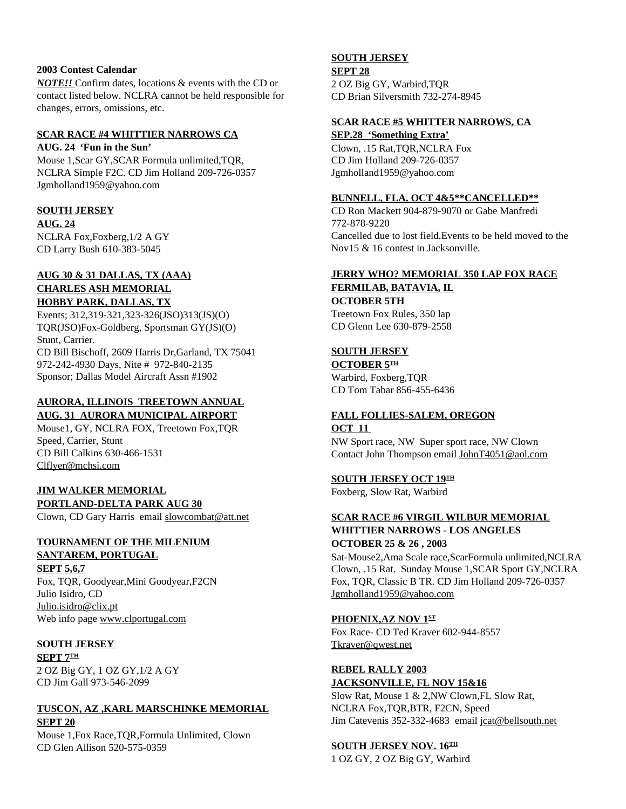#### **2003 Contest Calendar**

*NOTE!!* Confirm dates, locations & events with the CD or contact listed below. NCLRA cannot be held responsible for changes, errors, omissions, etc.

#### **SCAR RACE #4 WHITTIER NARROWS CA**

**AUG. 24 'Fun in the Sun'** Mouse 1,Scar GY,SCAR Formula unlimited,TQR, NCLRA Simple F2C. CD Jim Holland 209-726-0357 Jgmholland1959@yahoo.com

#### **SOUTH JERSEY**

**AUG. 24**

NCLRA Fox,Foxberg,1/2 A GY CD Larry Bush 610-383-5045

#### **AUG 30 & 31 DALLAS, TX (AAA) CHARLES ASH MEMORIAL HOBBY PARK, DALLAS, TX**

Events; 312,319-321,323-326(JSO)313(JS)(O) TQR(JSO)Fox-Goldberg, Sportsman GY(JS)(O) Stunt, Carrier. CD Bill Bischoff, 2609 Harris Dr,Garland, TX 75041 972-242-4930 Days, Nite # 972-840-2135 Sponsor; Dallas Model Aircraft Assn #1902

#### **AURORA, ILLINOIS TREETOWN ANNUAL AUG. 31 AURORA MUNICIPAL AIRPORT**

Mouse1, GY, NCLRA FOX, Treetown Fox,TQR Speed, Carrier, Stunt CD Bill Calkins 630-466-1531 Clflyer@mchsi.com

#### **JIM WALKER MEMORIAL PORTLAND-DELTA PARK AUG 30**

Clown, CD Gary Harris email slowcombat@att.net

## **TOURNAMENT OF THE MILENIUM SANTAREM, PORTUGAL**

**SEPT 5,6,7** Fox, TQR, Goodyear,Mini Goodyear,F2CN Julio Isidro, CD Julio.isidro@clix.pt Web info page www.clportugal.com

## **SOUTH JERSEY**

 $\frac{\rm SEPT}{\rm 7^{TH}}$ 2 OZ Big GY, 1 OZ GY,1/2 A GY CD Jim Gall 973-546-2099

#### **TUSCON, AZ ,KARL MARSCHINKE MEMORIAL SEPT 20**

Mouse 1,Fox Race,TQR,Formula Unlimited, Clown CD Glen Allison 520-575-0359

#### **SOUTH JERSEY SEPT 28**

2 OZ Big GY, Warbird,TQR CD Brian Silversmith 732-274-8945

#### **SCAR RACE #5 WHITTER NARROWS, CA**

**SEP.28 'Something Extra'**

Clown, .15 Rat,TQR,NCLRA Fox CD Jim Holland 209-726-0357 Jgmholland1959@yahoo.com

#### **BUNNELL, FLA. OCT 4&5\*\*CANCELLED\*\***

CD Ron Mackett 904-879-9070 or Gabe Manfredi 772-878-9220 Cancelled due to lost field.Events to be held moved to the Nov15 & 16 contest in Jacksonville.

## **JERRY WHO? MEMORIAL 350 LAP FOX RACE FERMILAB, BATAVIA, IL OCTOBER 5TH**

Treetown Fox Rules, 350 lap CD Glenn Lee 630-879-2558

## **SOUTH JERSEY**

<u>OCTOBER 5℡</u> Warbird, Foxberg,TQR CD Tom Tabar 856-455-6436

## **FALL FOLLIES-SALEM, OREGON**

#### **OCT 11** NW Sport race, NW Super sport race, NW Clown Contact John Thompson email JohnT4051@aol.com

#### $\overline{\text{SOUTH JERSEY OCT 19^{\text{TH}}}}$

Foxberg, Slow Rat, Warbird

#### **SCAR RACE #6 VIRGIL WILBUR MEMORIAL WHITTIER NARROWS - LOS ANGELES OCTOBER 25 & 26 , 2003**

Sat-Mouse2,Ama Scale race,ScarFormula unlimited,NCLRA Clown, .15 Rat. Sunday Mouse 1,SCAR Sport GY,NCLRA Fox, TQR, Classic B TR. CD Jim Holland 209-726-0357 Jgmholland1959@yahoo.com

#### **PHOENIX,AZ NOV 1 ST**

Fox Race- CD Ted Kraver 602-944-8557 Tkraver@qwest.net

## **REBEL RALLY 2003 JACKSONVILLE, FL NOV 15&16**

Slow Rat, Mouse 1 & 2,NW Clown,FL Slow Rat, NCLRA Fox,TQR,BTR, F2CN, Speed Jim Catevenis 352-332-4683 email jcat@bellsouth.net

#### **SOUTH JERSEY NOV. 16 TH**

1 OZ GY, 2 OZ Big GY, Warbird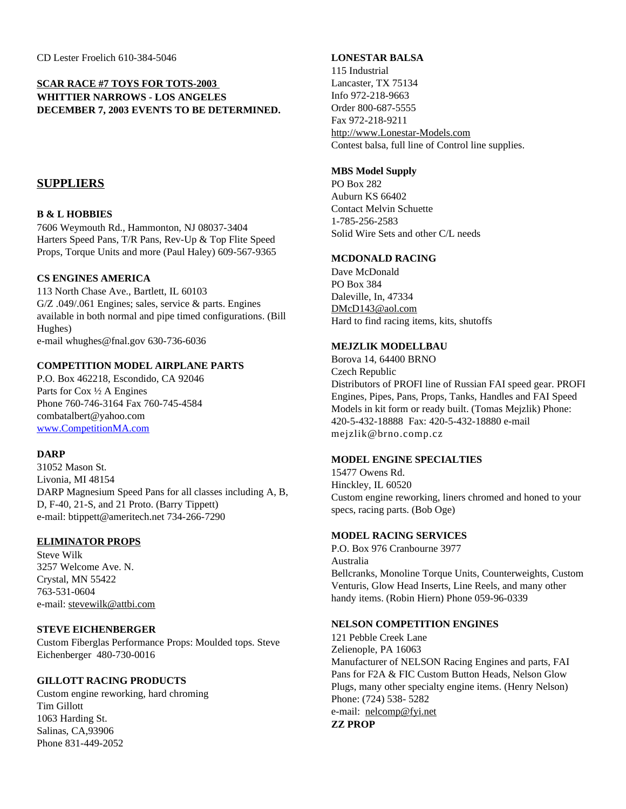## **SCAR RACE #7 TOYS FOR TOTS-2003 WHITTIER NARROWS - LOS ANGELES DECEMBER 7, 2003 EVENTS TO BE DETERMINED.**

## **SUPPLIERS**

#### **B & L HOBBIES**

7606 Weymouth Rd., Hammonton, NJ 08037-3404 Harters Speed Pans, T/R Pans, Rev-Up & Top Flite Speed Props, Torque Units and more (Paul Haley) 609-567-9365

#### **CS ENGINES AMERICA**

113 North Chase Ave., Bartlett, IL 60103 G/Z .049/.061 Engines; sales, service & parts. Engines available in both normal and pipe timed configurations. (Bill Hughes) e-mail whughes@fnal.gov 630-736-6036

#### **COMPETITION MODEL AIRPLANE PARTS**

P.O. Box 462218, Escondido, CA 92046 Parts for Cox ½ A Engines Phone 760-746-3164 Fax 760-745-4584 combatalbert@yahoo.com www.CompetitionMA.com

#### **DARP**

31052 Mason St. Livonia, MI 48154 DARP Magnesium Speed Pans for all classes including A, B, D, F-40, 21-S, and 21 Proto. (Barry Tippett) e-mail: btippett@ameritech.net 734-266-7290

#### **ELIMINATOR PROPS**

Steve Wilk 3257 Welcome Ave. N. Crystal, MN 55422 763-531-0604 e-mail: stevewilk@attbi.com

#### **STEVE EICHENBERGER**

Custom Fiberglas Performance Props: Moulded tops. Steve Eichenberger 480-730-0016

#### **GILLOTT RACING PRODUCTS**

Custom engine reworking, hard chroming Tim Gillott 1063 Harding St. Salinas, CA,93906 Phone 831-449-2052

#### **LONESTAR BALSA**

115 Industrial Lancaster, TX 75134 Info 972-218-9663 Order 800-687-5555 Fax 972-218-9211 http://www.Lonestar-Models.com Contest balsa, full line of Control line supplies.

#### **MBS Model Supply**

PO Box 282 Auburn KS 66402 Contact Melvin Schuette 1-785-256-2583 Solid Wire Sets and other C/L needs

#### **MCDONALD RACING**

Dave McDonald PO Box 384 Daleville, In, 47334 DMcD143@aol.com Hard to find racing items, kits, shutoffs

#### **MEJZLIK MODELLBAU**

Borova 14, 64400 BRNO Czech Republic Distributors of PROFI line of Russian FAI speed gear. PROFI Engines, Pipes, Pans, Props, Tanks, Handles and FAI Speed Models in kit form or ready built. (Tomas Mejzlik) Phone: 420-5-432-18888 Fax: 420-5-432-18880 e-mail mejzlik@brno.comp.cz

#### **MODEL ENGINE SPECIALTIES**

15477 Owens Rd. Hinckley, IL 60520 Custom engine reworking, liners chromed and honed to your specs, racing parts. (Bob Oge)

#### **MODEL RACING SERVICES**

P.O. Box 976 Cranbourne 3977 Australia Bellcranks, Monoline Torque Units, Counterweights, Custom Venturis, Glow Head Inserts, Line Reels, and many other handy items. (Robin Hiern) Phone 059-96-0339

#### **NELSON COMPETITION ENGINES**

121 Pebble Creek Lane Zelienople, PA 16063 Manufacturer of NELSON Racing Engines and parts, FAI Pans for F2A & FIC Custom Button Heads, Nelson Glow Plugs, many other specialty engine items. (Henry Nelson) Phone: (724) 538- 5282 e-mail: nelcomp@fyi.net **ZZ PROP**